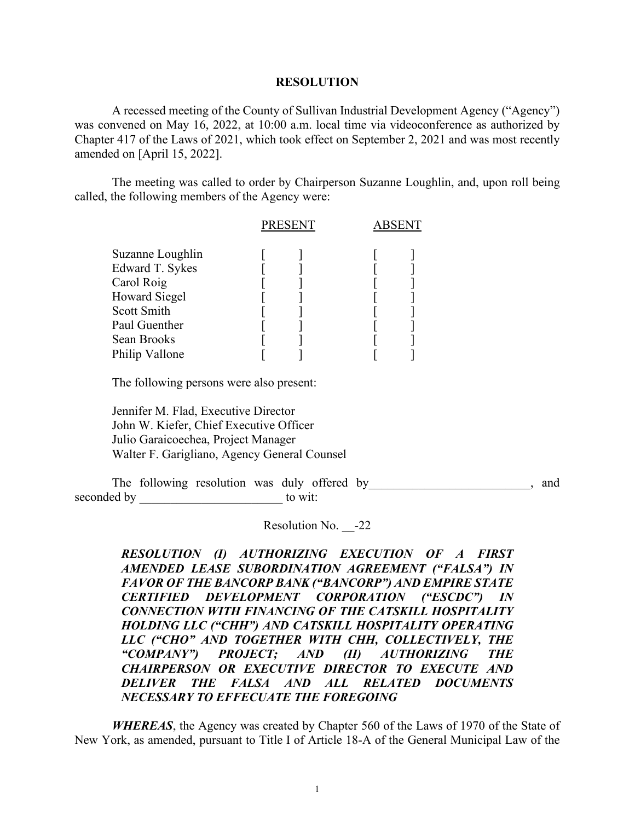## **RESOLUTION**

A recessed meeting of the County of Sullivan Industrial Development Agency ("Agency") was convened on May 16, 2022, at 10:00 a.m. local time via videoconference as authorized by Chapter 417 of the Laws of 2021, which took effect on September 2, 2021 and was most recently amended on [April 15, 2022].

The meeting was called to order by Chairperson Suzanne Loughlin, and, upon roll being called, the following members of the Agency were:

|                      | <b>PRESENT</b> |  |
|----------------------|----------------|--|
| Suzanne Loughlin     |                |  |
| Edward T. Sykes      |                |  |
| Carol Roig           |                |  |
| <b>Howard Siegel</b> |                |  |
| Scott Smith          |                |  |
| Paul Guenther        |                |  |
| Sean Brooks          |                |  |
| Philip Vallone       |                |  |

The following persons were also present:

 Jennifer M. Flad, Executive Director John W. Kiefer, Chief Executive Officer Julio Garaicoechea, Project Manager Walter F. Garigliano, Agency General Counsel

The following resolution was duly offered by example and and parameters and  $\lambda$ , and seconded by to wit:

Resolution No. -22

*RESOLUTION (I) AUTHORIZING EXECUTION OF A FIRST AMENDED LEASE SUBORDINATION AGREEMENT ("FALSA") IN FAVOR OF THE BANCORP BANK ("BANCORP") AND EMPIRE STATE CERTIFIED DEVELOPMENT CORPORATION ("ESCDC") IN CONNECTION WITH FINANCING OF THE CATSKILL HOSPITALITY HOLDING LLC ("CHH") AND CATSKILL HOSPITALITY OPERATING LLC ("CHO" AND TOGETHER WITH CHH, COLLECTIVELY, THE "COMPANY") PROJECT; AND (II) AUTHORIZING THE CHAIRPERSON OR EXECUTIVE DIRECTOR TO EXECUTE AND DELIVER THE FALSA AND ALL RELATED DOCUMENTS NECESSARY TO EFFECUATE THE FOREGOING*

*WHEREAS*, the Agency was created by Chapter 560 of the Laws of 1970 of the State of New York, as amended, pursuant to Title I of Article 18-A of the General Municipal Law of the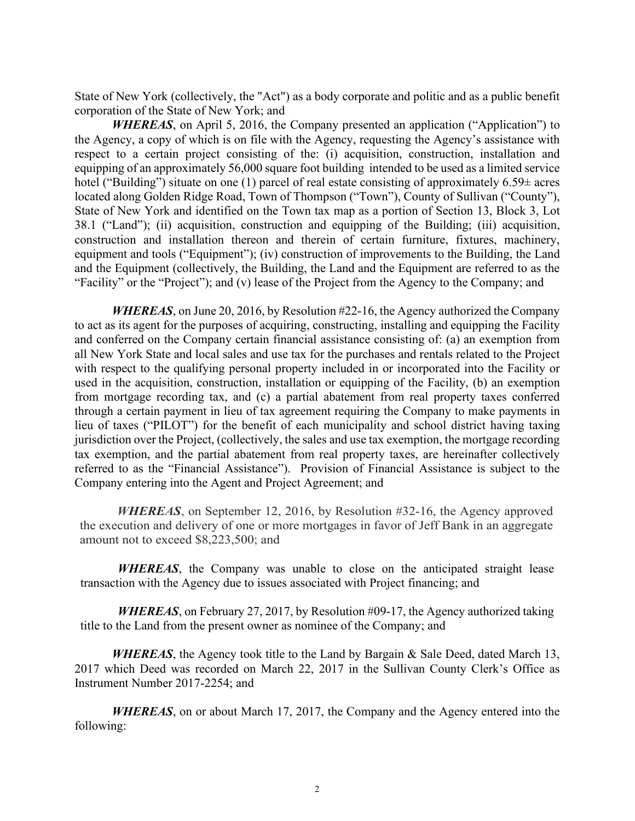State of New York (collectively, the "Act") as a body corporate and politic and as a public benefit corporation of the State of New York; and

*WHEREAS*, on April 5, 2016, the Company presented an application ("Application") to the Agency, a copy of which is on file with the Agency, requesting the Agency's assistance with respect to a certain project consisting of the: (i) acquisition, construction, installation and equipping of an approximately 56,000 square foot building intended to be used as a limited service hotel ("Building") situate on one (1) parcel of real estate consisting of approximately  $6.59\pm$  acres located along Golden Ridge Road, Town of Thompson ("Town"), County of Sullivan ("County"), State of New York and identified on the Town tax map as a portion of Section 13, Block 3, Lot 38.1 ("Land"); (ii) acquisition, construction and equipping of the Building; (iii) acquisition, construction and installation thereon and therein of certain furniture, fixtures, machinery, equipment and tools ("Equipment"); (iv) construction of improvements to the Building, the Land and the Equipment (collectively, the Building, the Land and the Equipment are referred to as the "Facility" or the "Project"); and (v) lease of the Project from the Agency to the Company; and

*WHEREAS*, on June 20, 2016, by Resolution #22-16, the Agency authorized the Company to act as its agent for the purposes of acquiring, constructing, installing and equipping the Facility and conferred on the Company certain financial assistance consisting of: (a) an exemption from all New York State and local sales and use tax for the purchases and rentals related to the Project with respect to the qualifying personal property included in or incorporated into the Facility or used in the acquisition, construction, installation or equipping of the Facility, (b) an exemption from mortgage recording tax, and (c) a partial abatement from real property taxes conferred through a certain payment in lieu of tax agreement requiring the Company to make payments in lieu of taxes ("PILOT") for the benefit of each municipality and school district having taxing jurisdiction over the Project, (collectively, the sales and use tax exemption, the mortgage recording tax exemption, and the partial abatement from real property taxes, are hereinafter collectively referred to as the "Financial Assistance"). Provision of Financial Assistance is subject to the Company entering into the Agent and Project Agreement; and

*WHEREAS*, on September 12, 2016, by Resolution #32-16, the Agency approved the execution and delivery of one or more mortgages in favor of Jeff Bank in an aggregate amount not to exceed \$8,223,500; and

*WHEREAS*, the Company was unable to close on the anticipated straight lease transaction with the Agency due to issues associated with Project financing; and

*WHEREAS*, on February 27, 2017, by Resolution #09-17, the Agency authorized taking title to the Land from the present owner as nominee of the Company; and

*WHEREAS*, the Agency took title to the Land by Bargain & Sale Deed, dated March 13, 2017 which Deed was recorded on March 22, 2017 in the Sullivan County Clerk's Office as Instrument Number 2017-2254; and

*WHEREAS*, on or about March 17, 2017, the Company and the Agency entered into the following: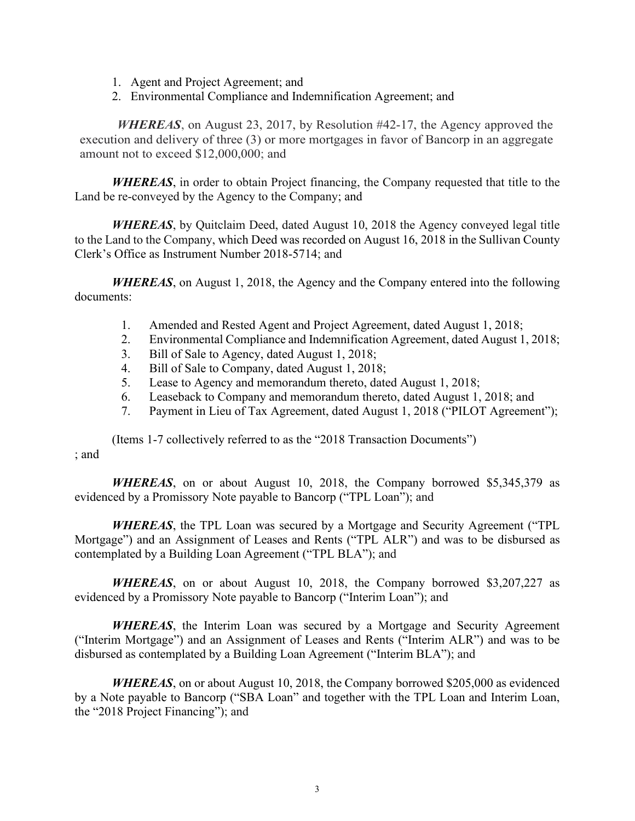- 1. Agent and Project Agreement; and
- 2. Environmental Compliance and Indemnification Agreement; and

*WHEREAS*, on August 23, 2017, by Resolution #42-17, the Agency approved the execution and delivery of three (3) or more mortgages in favor of Bancorp in an aggregate amount not to exceed \$12,000,000; and

*WHEREAS*, in order to obtain Project financing, the Company requested that title to the Land be re-conveyed by the Agency to the Company; and

*WHEREAS*, by Quitclaim Deed, dated August 10, 2018 the Agency conveyed legal title to the Land to the Company, which Deed was recorded on August 16, 2018 in the Sullivan County Clerk's Office as Instrument Number 2018-5714; and

*WHEREAS*, on August 1, 2018, the Agency and the Company entered into the following documents:

- 1. Amended and Rested Agent and Project Agreement, dated August 1, 2018;
- 2. Environmental Compliance and Indemnification Agreement, dated August 1, 2018;
- 3. Bill of Sale to Agency, dated August 1, 2018;
- 4. Bill of Sale to Company, dated August 1, 2018;
- 5. Lease to Agency and memorandum thereto, dated August 1, 2018;
- 6. Leaseback to Company and memorandum thereto, dated August 1, 2018; and
- 7. Payment in Lieu of Tax Agreement, dated August 1, 2018 ("PILOT Agreement");

(Items 1-7 collectively referred to as the "2018 Transaction Documents") ; and

*WHEREAS*, on or about August 10, 2018, the Company borrowed \$5,345,379 as evidenced by a Promissory Note payable to Bancorp ("TPL Loan"); and

*WHEREAS*, the TPL Loan was secured by a Mortgage and Security Agreement ("TPL Mortgage") and an Assignment of Leases and Rents ("TPL ALR") and was to be disbursed as contemplated by a Building Loan Agreement ("TPL BLA"); and

*WHEREAS*, on or about August 10, 2018, the Company borrowed \$3,207,227 as evidenced by a Promissory Note payable to Bancorp ("Interim Loan"); and

*WHEREAS*, the Interim Loan was secured by a Mortgage and Security Agreement ("Interim Mortgage") and an Assignment of Leases and Rents ("Interim ALR") and was to be disbursed as contemplated by a Building Loan Agreement ("Interim BLA"); and

*WHEREAS*, on or about August 10, 2018, the Company borrowed \$205,000 as evidenced by a Note payable to Bancorp ("SBA Loan" and together with the TPL Loan and Interim Loan, the "2018 Project Financing"); and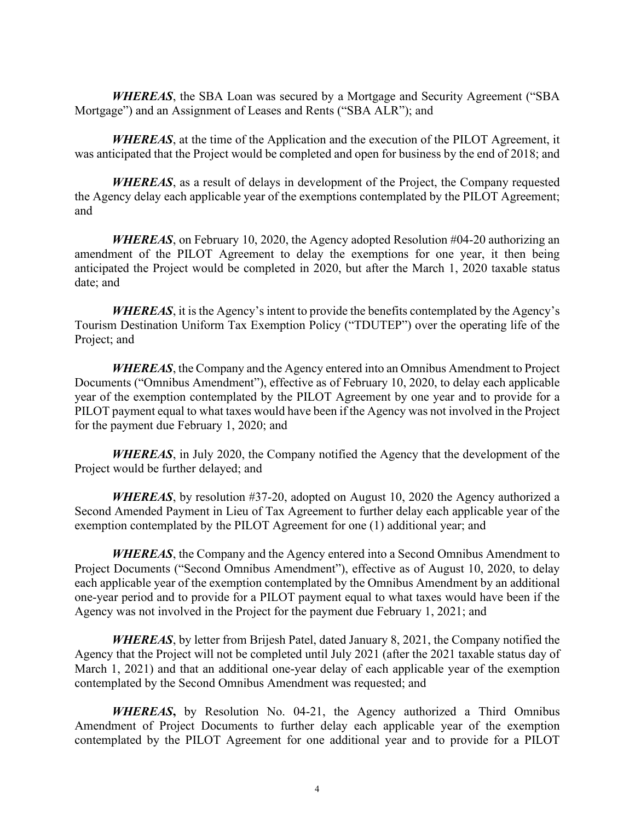*WHEREAS*, the SBA Loan was secured by a Mortgage and Security Agreement ("SBA Mortgage") and an Assignment of Leases and Rents ("SBA ALR"); and

*WHEREAS*, at the time of the Application and the execution of the PILOT Agreement, it was anticipated that the Project would be completed and open for business by the end of 2018; and

*WHEREAS*, as a result of delays in development of the Project, the Company requested the Agency delay each applicable year of the exemptions contemplated by the PILOT Agreement; and

*WHEREAS*, on February 10, 2020, the Agency adopted Resolution #04-20 authorizing an amendment of the PILOT Agreement to delay the exemptions for one year, it then being anticipated the Project would be completed in 2020, but after the March 1, 2020 taxable status date; and

*WHEREAS*, it is the Agency's intent to provide the benefits contemplated by the Agency's Tourism Destination Uniform Tax Exemption Policy ("TDUTEP") over the operating life of the Project; and

*WHEREAS*, the Company and the Agency entered into an Omnibus Amendment to Project Documents ("Omnibus Amendment"), effective as of February 10, 2020, to delay each applicable year of the exemption contemplated by the PILOT Agreement by one year and to provide for a PILOT payment equal to what taxes would have been if the Agency was not involved in the Project for the payment due February 1, 2020; and

*WHEREAS*, in July 2020, the Company notified the Agency that the development of the Project would be further delayed; and

*WHEREAS*, by resolution #37-20, adopted on August 10, 2020 the Agency authorized a Second Amended Payment in Lieu of Tax Agreement to further delay each applicable year of the exemption contemplated by the PILOT Agreement for one (1) additional year; and

*WHEREAS*, the Company and the Agency entered into a Second Omnibus Amendment to Project Documents ("Second Omnibus Amendment"), effective as of August 10, 2020, to delay each applicable year of the exemption contemplated by the Omnibus Amendment by an additional one-year period and to provide for a PILOT payment equal to what taxes would have been if the Agency was not involved in the Project for the payment due February 1, 2021; and

*WHEREAS*, by letter from Brijesh Patel, dated January 8, 2021, the Company notified the Agency that the Project will not be completed until July 2021 (after the 2021 taxable status day of March 1, 2021) and that an additional one-year delay of each applicable year of the exemption contemplated by the Second Omnibus Amendment was requested; and

*WHEREAS***,** by Resolution No. 04-21, the Agency authorized a Third Omnibus Amendment of Project Documents to further delay each applicable year of the exemption contemplated by the PILOT Agreement for one additional year and to provide for a PILOT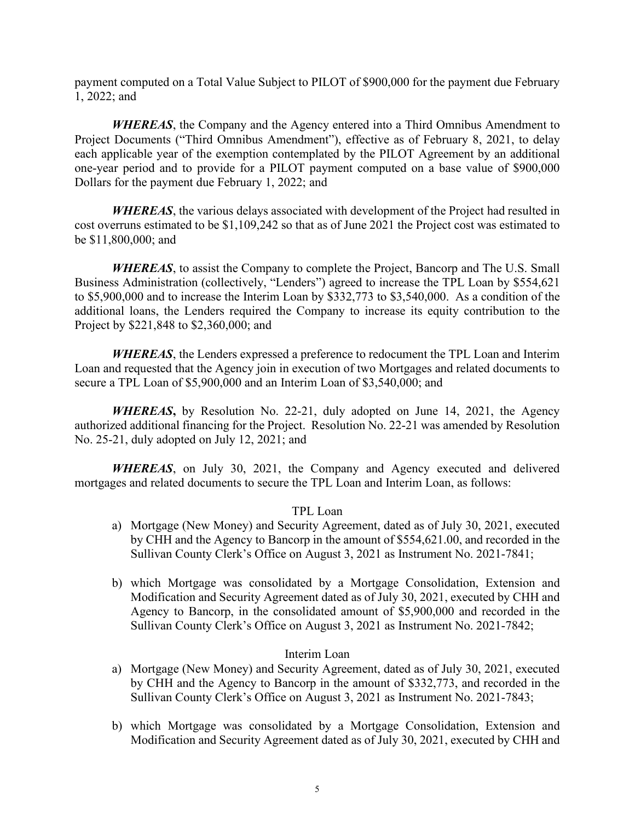payment computed on a Total Value Subject to PILOT of \$900,000 for the payment due February 1, 2022; and

*WHEREAS*, the Company and the Agency entered into a Third Omnibus Amendment to Project Documents ("Third Omnibus Amendment"), effective as of February 8, 2021, to delay each applicable year of the exemption contemplated by the PILOT Agreement by an additional one-year period and to provide for a PILOT payment computed on a base value of \$900,000 Dollars for the payment due February 1, 2022; and

*WHEREAS*, the various delays associated with development of the Project had resulted in cost overruns estimated to be \$1,109,242 so that as of June 2021 the Project cost was estimated to be \$11,800,000; and

*WHEREAS*, to assist the Company to complete the Project, Bancorp and The U.S. Small Business Administration (collectively, "Lenders") agreed to increase the TPL Loan by \$554,621 to \$5,900,000 and to increase the Interim Loan by \$332,773 to \$3,540,000. As a condition of the additional loans, the Lenders required the Company to increase its equity contribution to the Project by \$221,848 to \$2,360,000; and

*WHEREAS*, the Lenders expressed a preference to redocument the TPL Loan and Interim Loan and requested that the Agency join in execution of two Mortgages and related documents to secure a TPL Loan of \$5,900,000 and an Interim Loan of \$3,540,000; and

*WHEREAS***,** by Resolution No. 22-21, duly adopted on June 14, 2021, the Agency authorized additional financing for the Project. Resolution No. 22-21 was amended by Resolution No. 25-21, duly adopted on July 12, 2021; and

*WHEREAS*, on July 30, 2021, the Company and Agency executed and delivered mortgages and related documents to secure the TPL Loan and Interim Loan, as follows:

## TPL Loan

- a) Mortgage (New Money) and Security Agreement, dated as of July 30, 2021, executed by CHH and the Agency to Bancorp in the amount of \$554,621.00, and recorded in the Sullivan County Clerk's Office on August 3, 2021 as Instrument No. 2021-7841;
- b) which Mortgage was consolidated by a Mortgage Consolidation, Extension and Modification and Security Agreement dated as of July 30, 2021, executed by CHH and Agency to Bancorp, in the consolidated amount of \$5,900,000 and recorded in the Sullivan County Clerk's Office on August 3, 2021 as Instrument No. 2021-7842;

## Interim Loan

- a) Mortgage (New Money) and Security Agreement, dated as of July 30, 2021, executed by CHH and the Agency to Bancorp in the amount of \$332,773, and recorded in the Sullivan County Clerk's Office on August 3, 2021 as Instrument No. 2021-7843;
- b) which Mortgage was consolidated by a Mortgage Consolidation, Extension and Modification and Security Agreement dated as of July 30, 2021, executed by CHH and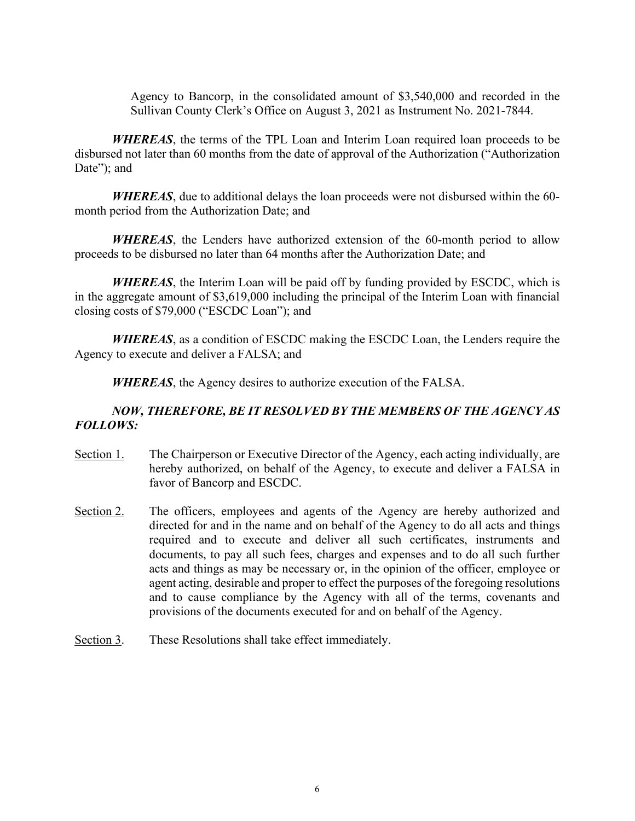Agency to Bancorp, in the consolidated amount of \$3,540,000 and recorded in the Sullivan County Clerk's Office on August 3, 2021 as Instrument No. 2021-7844.

*WHEREAS*, the terms of the TPL Loan and Interim Loan required loan proceeds to be disbursed not later than 60 months from the date of approval of the Authorization ("Authorization Date"; and

*WHEREAS*, due to additional delays the loan proceeds were not disbursed within the 60 month period from the Authorization Date; and

*WHEREAS*, the Lenders have authorized extension of the 60-month period to allow proceeds to be disbursed no later than 64 months after the Authorization Date; and

*WHEREAS*, the Interim Loan will be paid off by funding provided by ESCDC, which is in the aggregate amount of \$3,619,000 including the principal of the Interim Loan with financial closing costs of \$79,000 ("ESCDC Loan"); and

*WHEREAS*, as a condition of ESCDC making the ESCDC Loan, the Lenders require the Agency to execute and deliver a FALSA; and

*WHEREAS*, the Agency desires to authorize execution of the FALSA.

## *NOW, THEREFORE, BE IT RESOLVED BY THE MEMBERS OF THE AGENCY AS FOLLOWS:*

- Section 1. The Chairperson or Executive Director of the Agency, each acting individually, are hereby authorized, on behalf of the Agency, to execute and deliver a FALSA in favor of Bancorp and ESCDC.
- Section 2. The officers, employees and agents of the Agency are hereby authorized and directed for and in the name and on behalf of the Agency to do all acts and things required and to execute and deliver all such certificates, instruments and documents, to pay all such fees, charges and expenses and to do all such further acts and things as may be necessary or, in the opinion of the officer, employee or agent acting, desirable and proper to effect the purposes of the foregoing resolutions and to cause compliance by the Agency with all of the terms, covenants and provisions of the documents executed for and on behalf of the Agency.
- Section 3. These Resolutions shall take effect immediately.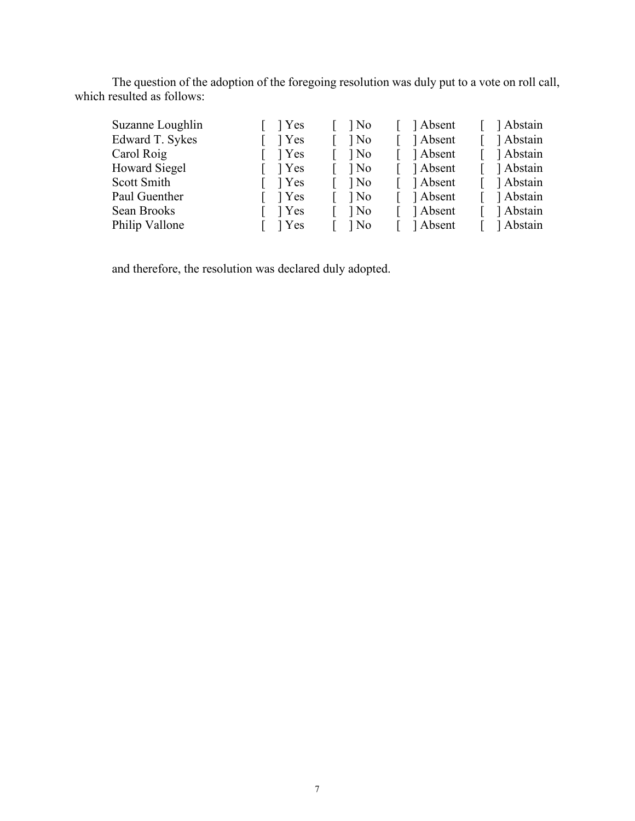The question of the adoption of the foregoing resolution was duly put to a vote on roll call, which resulted as follows:

| Suzanne Loughlin | $\lceil \quad \rceil$ Yes | $\log$                   | [ ] Absent | Abstain     |
|------------------|---------------------------|--------------------------|------------|-------------|
| Edward T. Sykes  | $\lceil \quad \rceil$ Yes | $\log$                   | Absent     | Abstain     |
| Carol Roig       | $\lceil \quad \rceil$ Yes | $\log$                   | [ ] Absent | 1 Abstain   |
| Howard Siegel    | $\lceil \quad \rceil$ Yes | $\log$                   | [ ] Absent | [ ] Abstain |
| Scott Smith      | $\lceil \quad \rceil$ Yes | $\log$                   | [ ] Absent | [ ] Abstain |
| Paul Guenther    | $\lceil \quad \rceil$ Yes | $\log$                   | [ ] Absent | Abstain     |
| Sean Brooks      | $\lceil \quad \rceil$ Yes | $\log$                   | [ ] Absent | [ ] Abstain |
| Philip Vallone   | $\lceil \quad \rceil$ Yes | $\lceil \quad \rceil$ No | [ ] Absent | [ ] Abstain |

and therefore, the resolution was declared duly adopted.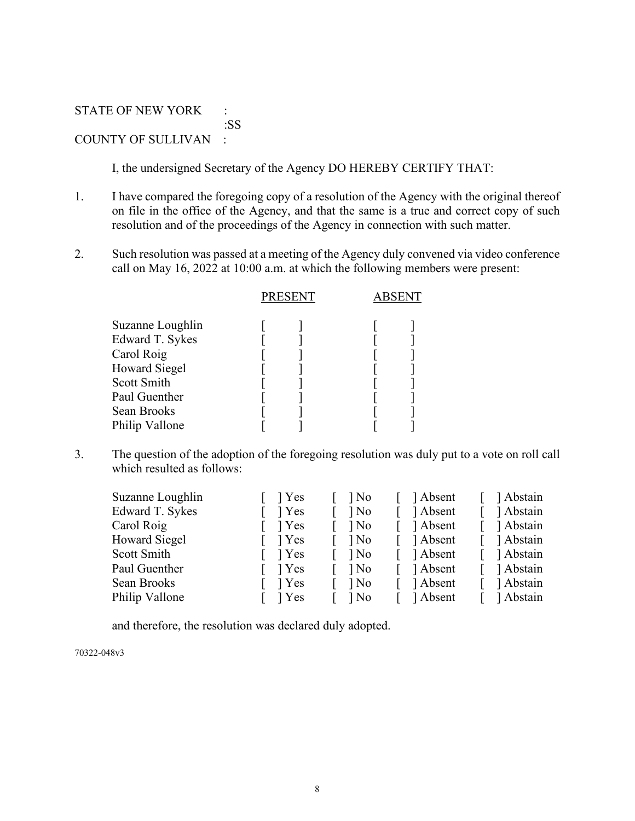STATE OF NEW YORK : :SS COUNTY OF SULLIVAN :

I, the undersigned Secretary of the Agency DO HEREBY CERTIFY THAT:

- 1. I have compared the foregoing copy of a resolution of the Agency with the original thereof on file in the office of the Agency, and that the same is a true and correct copy of such resolution and of the proceedings of the Agency in connection with such matter.
- 2. Such resolution was passed at a meeting of the Agency duly convened via video conference call on May 16, 2022 at 10:00 a.m. at which the following members were present:

|                                                                                                                                            | <b>PRESENT</b> |  |
|--------------------------------------------------------------------------------------------------------------------------------------------|----------------|--|
| Suzanne Loughlin<br>Edward T. Sykes<br>Carol Roig<br><b>Howard Siegel</b><br>Scott Smith<br>Paul Guenther<br>Sean Brooks<br>Philip Vallone |                |  |
|                                                                                                                                            |                |  |

3. The question of the adoption of the foregoing resolution was duly put to a vote on roll call which resulted as follows:

| Suzanne Loughlin     | l Yes | ] No | Absent   | Abstain   |
|----------------------|-------|------|----------|-----------|
| Edward T. Sykes      | Yes   | ] No | Absent   | Abstain   |
| Carol Roig           | 1 Yes | ] No | Absent   | Abstain   |
| <b>Howard Siegel</b> | l Yes | ] No | Absent   | Abstain   |
| Scott Smith          | l Yes | ] No | ] Absent | Abstain   |
| Paul Guenther        | l Yes | ] No | Absent   | Abstain   |
| Sean Brooks          | l Yes | ] No | Absent   | Abstain   |
| Philip Vallone       | l Yes | ] No | ] Absent | 1 Abstain |

and therefore, the resolution was declared duly adopted.

70322-048v3